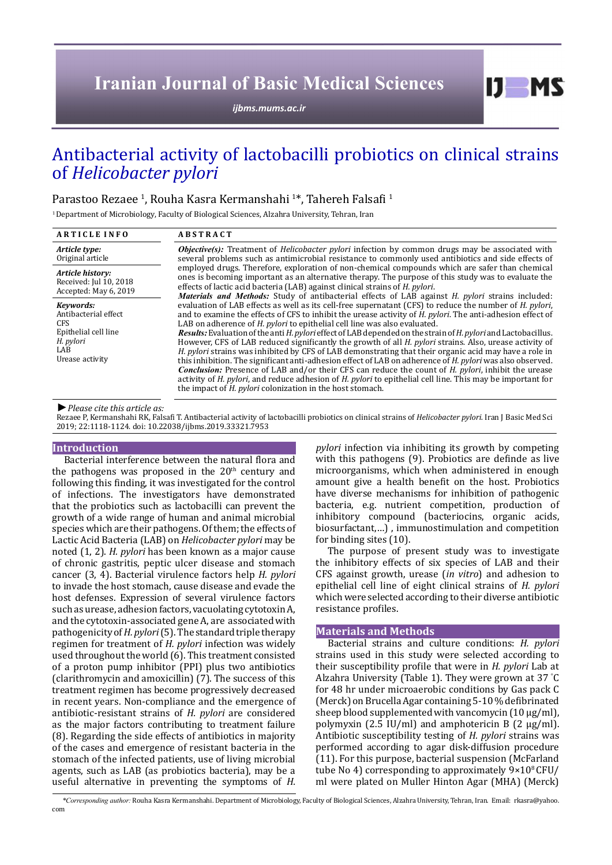# **Iranian Journal of Basic Medical Sciences**

*[ijbms.mums.ac.ir](http://ijbms.mums.ac.ir)*

## Antibacterial activity of lactobacilli probiotics on clinical strains of *Helicobacter pylori*

## Parastoo Rezaee <sup>1</sup>, Rouha Kasra Kermanshahi <sup>1</sup>\*, Tahereh Falsafi <sup>1</sup>

<sup>1</sup> Department of Microbiology, Faculty of Biological Sciences, Alzahra University, Tehran, Iran

| <b>ARTICLE INFO</b>                                                                                            | <b>ABSTRACT</b>                                                                                                                                                                                                                                                                                                                                                                                                                                                                                                                                                                                                                                                                                                                                                                                                                                                                                                                                                                                                                                                                                                                                                                        |  |
|----------------------------------------------------------------------------------------------------------------|----------------------------------------------------------------------------------------------------------------------------------------------------------------------------------------------------------------------------------------------------------------------------------------------------------------------------------------------------------------------------------------------------------------------------------------------------------------------------------------------------------------------------------------------------------------------------------------------------------------------------------------------------------------------------------------------------------------------------------------------------------------------------------------------------------------------------------------------------------------------------------------------------------------------------------------------------------------------------------------------------------------------------------------------------------------------------------------------------------------------------------------------------------------------------------------|--|
| Article type:<br>Original article                                                                              | <b><i>Objective(s)</i></b> : Treatment of <i>Helicobacter pylori</i> infection by common drugs may be associated with<br>several problems such as antimicrobial resistance to commonly used antibiotics and side effects of<br>employed drugs. Therefore, exploration of non-chemical compounds which are safer than chemical<br>ones is becoming important as an alternative therapy. The purpose of this study was to evaluate the<br>effects of lactic acid bacteria (LAB) against clinical strains of <i>H. pylori</i> .                                                                                                                                                                                                                                                                                                                                                                                                                                                                                                                                                                                                                                                           |  |
| Article history:<br>Received: Jul 10, 2018<br>Accepted: May 6, 2019                                            |                                                                                                                                                                                                                                                                                                                                                                                                                                                                                                                                                                                                                                                                                                                                                                                                                                                                                                                                                                                                                                                                                                                                                                                        |  |
| Kevwords:<br>Antibacterial effect<br><b>CFS</b><br>Epithelial cell line<br>H. pylori<br>LAB<br>Urease activity | <i>Materials and Methods:</i> Study of antibacterial effects of LAB against <i>H. pylori</i> strains included:<br>evaluation of LAB effects as well as its cell-free supernatant (CFS) to reduce the number of H. pylori,<br>and to examine the effects of CFS to inhibit the urease activity of <i>H. pylori</i> . The anti-adhesion effect of<br>LAB on adherence of H. pylori to epithelial cell line was also evaluated.<br>Results: Evaluation of the anti H. pylori effect of LAB depended on the strain of H. pylori and Lactobacillus.<br>However, CFS of LAB reduced significantly the growth of all <i>H. pylori</i> strains. Also, urease activity of<br>H. pylori strains was inhibited by CFS of LAB demonstrating that their organic acid may have a role in<br>this inhibition. The significant anti-adhesion effect of LAB on adherence of H. pylori was also observed.<br><b>Conclusion:</b> Presence of LAB and/or their CFS can reduce the count of H. pylori, inhibit the urease<br>activity of H. pylori, and reduce adhesion of H. pylori to epithelial cell line. This may be important for<br>the impact of <i>H. pylori</i> colonization in the host stomach. |  |

*►Please cite this article as:*

Rezaee P, Kermanshahi RK, Falsafi T. Antibacterial activity of lactobacilli probiotics on clinical strains of *Helicobacter pylori*. Iran J Basic Med Sci 2019; 22:1118-1124. doi: 10.22038/ijbms.2019.33321.7953

#### **Introduction**

Bacterial interference between the natural flora and the pathogens was proposed in the  $20<sup>th</sup>$  century and following this finding, it was investigated for the control of infections. The investigators have demonstrated that the probiotics such as lactobacilli can prevent the growth of a wide range of human and animal microbial species which are their pathogens. Of them; the effects of Lactic Acid Bacteria (LAB) on *Helicobacter pylori* may be noted (1, 2). *H. pylori* has been known as a major cause of chronic gastritis, peptic ulcer disease and stomach cancer (3, 4). Bacterial virulence factors help *H. pylori* to invade the host stomach, cause disease and evade the host defenses. Expression of several virulence factors such as urease, adhesion factors, vacuolating cytotoxin A, and the cytotoxin-associated gene A, are associated with pathogenicity of *H. pylori* (5). The standard triple therapy regimen for treatment of *H. pylori* infection was widely used throughout the world (6). This treatment consisted of a proton pump inhibitor (PPI) plus two antibiotics (clarithromycin and amoxicillin) (7). The success of this treatment regimen has become progressively decreased in recent years. Non-compliance and the emergence of antibiotic-resistant strains of *H. pylori* are considered as the major factors contributing to treatment failure (8). Regarding the side effects of antibiotics in majority of the cases and emergence of resistant bacteria in the stomach of the infected patients, use of living microbial agents, such as LAB (as probiotics bacteria), may be a useful alternative in preventing the symptoms of *H.* 

*pylori* infection via inhibiting its growth by competing with this pathogens (9). Probiotics are definde as live microorganisms, which when administered in enough amount give a health benefit on the host. Probiotics have diverse mechanisms for inhibition of pathogenic bacteria, e.g. nutrient competition, production of inhibitory compound (bacteriocins, organic acids, biosurfactant,…) , immunostimulation and competition for binding sites (10).

 $I$   $I$   $M$   $S$ 

The purpose of present study was to investigate the inhibitory effects of six species of LAB and their CFS against growth, urease (*in vitro*) and adhesion to epithelial cell line of eight clinical strains of *H. pylori*  which were selected according to their diverse antibiotic resistance profiles.

### **Materials and Methods**

Bacterial strains and culture conditions: *H. pylori* strains used in this study were selected according to their susceptibility profile that were in *H. pylori* Lab at Alzahra University (Table 1). They were grown at 37 ° C for 48 hr under microaerobic conditions by Gas pack C (Merck) on Brucella Agar containing 5-10 % defibrinated sheep blood supplemented with vancomycin (10 μg/ml), polymyxin (2.5 IU/ml) and amphotericin B (2 μg/ml). Antibiotic susceptibility testing of *H. pylori* strains was performed according to agar disk-diffusion procedure (11). For this purpose, bacterial suspension (McFarland tube No 4) corresponding to approximately  $9 \times 10^8$  CFU/ ml were plated on Muller Hinton Agar (MHA) (Merck)

*\*Corresponding author:* Rouha Kasra Kermanshahi. Department of Microbiology, Faculty of Biological Sciences, Alzahra University, Tehran, Iran. Email: rkasra@yahoo. com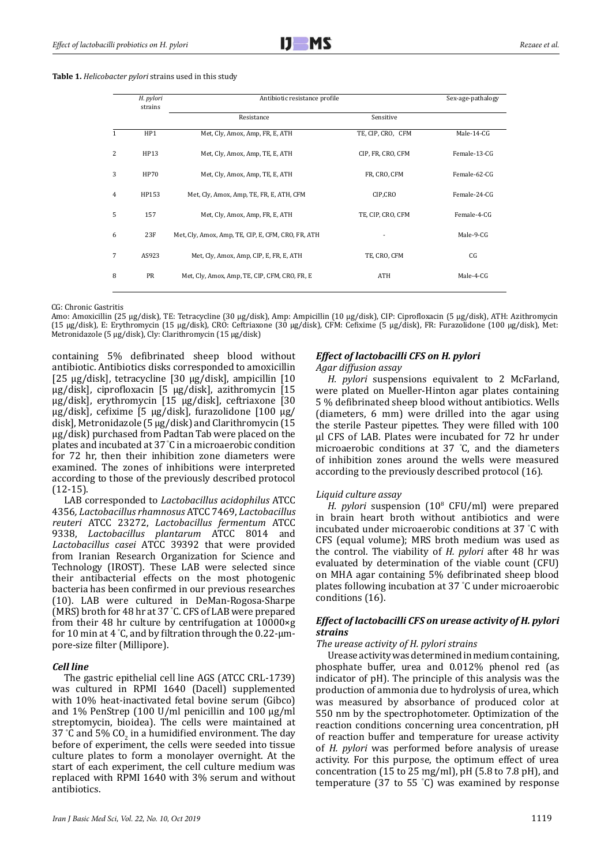**Table 1.** *Helicobacter pylori* strains used in this study

|                |             |                                                    |                   | Sex-age-pathalogy |
|----------------|-------------|----------------------------------------------------|-------------------|-------------------|
|                |             | Resistance                                         | Sensitive         |                   |
| $\mathbf{1}$   | HP1         | Met, Cly, Amox, Amp, FR, E, ATH                    | TE, CIP, CRO, CFM | Male-14-CG        |
| 2              | HP13        | Met, Cly, Amox, Amp, TE, E, ATH                    | CIP, FR, CRO, CFM | Female-13-CG      |
| 3              | <b>HP70</b> | Met, Cly, Amox, Amp, TE, E, ATH                    | FR, CRO, CFM      | Female-62-CG      |
| $\overline{4}$ | HP153       | Met, Cly, Amox, Amp, TE, FR, E, ATH, CFM           | CIP,CRO           | Female-24-CG      |
| 5              | 157         | Met, Cly, Amox, Amp, FR, E, ATH                    | TE, CIP, CRO, CFM | Female-4-CG       |
| 6              | 23F         | Met, Cly, Amox, Amp, TE, CIP, E, CFM, CRO, FR, ATH |                   | Male-9-CG         |
| 7              | AS923       | Met, Cly, Amox, Amp, CIP, E, FR, E, ATH            | TE, CRO, CFM      | CG                |
| 8              | PR          | Met, Cly, Amox, Amp, TE, CIP, CFM, CRO, FR, E      | <b>ATH</b>        | Male-4-CG         |

CG: Chronic Gastritis

Amo: Amoxicillin (25 µg/disk), TE: Tetracycline (30 µg/disk), Amp: Ampicillin (10 µg/disk), CIP: Ciprofloxacin (5 µg/disk), ATH: Azithromycin (15 µg/disk), E: Erythromycin (15 µg/disk), CRO: Ceftriaxone (30 µg/disk), CFM: Cefixime (5 µg/disk), FR: Furazolidone (100 µg/disk), Met: Metronidazole (5 µg/disk), Cly: Clarithromycin (15 µg/disk)

containing 5% defibrinated sheep blood without antibiotic. Antibiotics disks corresponded to amoxicillin [25 µg/disk], tetracycline [30 µg/disk], ampicillin [10 µg/disk], ciprofloxacin [5 µg/disk], azithromycin [15 µg/disk], erythromycin [15 µg/disk], ceftriaxone [30 µg/disk], cefixime [5 µg/disk], furazolidone [100 µg/ disk], Metronidazole (5 µg/disk) and Clarithromycin (15 µg/disk) purchased from Padtan Tab were placed on the plates and incubated at 37 ° C in a microaerobic condition for 72 hr, then their inhibition zone diameters were examined. The zones of inhibitions were interpreted according to those of the previously described protocol (12-15).

LAB corresponded to *Lactobacillus acidophilus* ATCC 4356*, Lactobacillus rhamnosus* ATCC 7469, *Lactobacillus reuteri* ATCC 23272, *Lactobacillus fermentum* ATCC 9338, *Lactobacillus plantarum* ATCC 8014 and *Lactobacillus casei* ATCC 39392 that were provided from Iranian Research Organization for Science and Technology (IROST). These LAB were selected since their antibacterial effects on the most photogenic bacteria has been confirmed in our previous researches (10). LAB were cultured in DeMan-Rogosa-Sharpe (MRS) broth for 48 hr at 37 ° C. CFS of LAB were prepared from their 48 hr culture by centrifugation at 10000×g for 10 min at 4 ° C, and by filtration through the 0.22-μmpore-size filter (Millipore).

#### *Cell line*

The gastric epithelial cell line AGS (ATCC CRL-1739) was cultured in RPMI 1640 (Dacell) supplemented with 10% heat-inactivated fetal bovine serum (Gibco) and 1% PenStrep (100 U/ml penicillin and 100 µg/ml streptomycin, bioidea). The cells were maintained at 37 °C and 5%  $CO<sub>2</sub>$  in a humidified environment. The day before of experiment, the cells were seeded into tissue culture plates to form a monolayer overnight. At the start of each experiment, the cell culture medium was replaced with RPMI 1640 with 3% serum and without antibiotics.

## according to the previously described protocol (16).

#### *Liquid culture assay*

*Agar diffusion assay* 

*H. pylori* suspension (108 CFU/ml) were prepared in brain heart broth without antibiotics and were incubated under microaerobic conditions at 37 ° C with CFS (equal volume); MRS broth medium was used as the control. The viability of *H. pylori* after 48 hr was evaluated by determination of the viable count (CFU) on MHA agar containing 5% defibrinated sheep blood plates following incubation at 37 ° C under microaerobic conditions (16).

*H. pylori* suspensions equivalent to 2 McFarland, were plated on Mueller-Hinton agar plates containing 5 % defibrinated sheep blood without antibiotics. Wells (diameters, 6 mm) were drilled into the agar using the sterile Pasteur pipettes. They were filled with 100 μl CFS of LAB. Plates were incubated for 72 hr under microaerobic conditions at 37 ° C, and the diameters of inhibition zones around the wells were measured

#### *Effect of lactobacilli CFS on urease activity of H. pylori strains*

#### *The urease activity of H. pylori strains*

*Effect of lactobacilli CFS on H. pylori*

Urease activity was determined in medium containing, phosphate buffer, urea and 0.012% phenol red (as indicator of pH). The principle of this analysis was the production of ammonia due to hydrolysis of urea, which was measured by absorbance of produced color at 550 nm by the spectrophotometer. Optimization of the reaction conditions concerning urea concentration, pH of reaction buffer and temperature for urease activity of *H. pylori* was performed before analysis of urease activity. For this purpose, the optimum effect of urea concentration (15 to 25 mg/ml), pH (5.8 to 7.8 pH), and temperature (37 to 55 ° C) was examined by response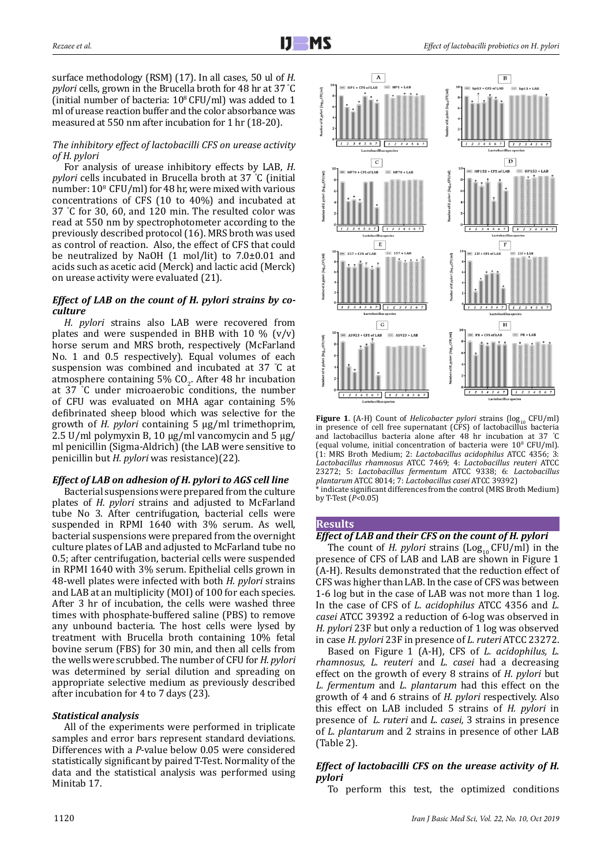surface methodology (RSM) (17). In all cases, 50 ul of *H. pylori* cells, grown in the Brucella broth for 48 hr at 37 ° C (initial number of bacteria:  $10^8$  CFU/ml) was added to 1 ml of urease reaction buffer and the color absorbance was measured at 550 nm after incubation for 1 hr (18-20).

#### *The inhibitory effect of lactobacilli CFS on urease activity of H. pylori*

For analysis of urease inhibitory effects by LAB, *H. pylori* cells incubated in Brucella broth at 37 ° C (initial number:  $10^8$  CFU/ml) for 48 hr, were mixed with various concentrations of CFS (10 to 40%) and incubated at 37 ° C for 30, 60, and 120 min. The resulted color was read at 550 nm by spectrophotometer according to the previously described protocol (16). MRS broth was used as control of reaction. Also, the effect of CFS that could be neutralized by NaOH (1 mol/lit) to 7.0±0.01 and acids such as acetic acid (Merck) and lactic acid (Merck) on urease activity were evaluated (21).

#### *Effect of LAB on the count of H. pylori strains by coculture*

*H. pylori* strains also LAB were recovered from plates and were suspended in BHB with  $10\%$  (v/v) horse serum and MRS broth, respectively (McFarland No. 1 and 0.5 respectively). Equal volumes of each suspension was combined and incubated at 37 ° C at atmosphere containing 5%  $CO_2$ . After 48 hr incubation at 37 ° C under microaerobic conditions, the number of CFU was evaluated on MHA agar containing 5% defibrinated sheep blood which was selective for the growth of *H. pylori* containing 5 µg/ml trimethoprim, 2.5 U/ml polymyxin B, 10  $\mu$ g/ml vancomycin and 5  $\mu$ g/ ml penicillin (Sigma-Aldrich) (the LAB were sensitive to penicillin but *H. pylori* was resistance)(22).

## *Effect of LAB on adhesion of H. pylori to AGS cell line*

Bacterial suspensions were prepared from the culture plates of *H. pylori* strains and adjusted to McFarland tube No 3. After centrifugation, bacterial cells were suspended in RPMI 1640 with 3% serum. As well, bacterial suspensions were prepared from the overnight culture plates of LAB and adjusted to McFarland tube no 0.5; after centrifugation, bacterial cells were suspended in RPMI 1640 with 3% serum. Epithelial cells grown in 48-well plates were infected with both *H. pylori* strains and LAB at an multiplicity (MOI) of 100 for each species. After 3 hr of incubation, the cells were washed three times with phosphate-buffered saline (PBS) to remove any unbound bacteria. The host cells were lysed by treatment with Brucella broth containing 10% fetal bovine serum (FBS) for 30 min, and then all cells from the wells were scrubbed. The number of CFU for *H. pylori* was determined by serial dilution and spreading on appropriate selective medium as previously described after incubation for 4 to 7 days (23).

## *Statistical analysis*

All of the experiments were performed in triplicate samples and error bars represent standard deviations. Differences with a *P-*value below 0.05 were considered statistically significant by paired T-Test. Normality of the data and the statistical analysis was performed using Minitab 17.





**Figure 1**. (A-H) Count of *Helicobacter pylori* strains (log<sub>10</sub> CFU/ml) in presence of cell free supernatant (CFS) of lactobacillus bacteria and lactobacillus bacteria alone after 48 hr incubation at 37 ° C (equal volume, initial concentration of bacteria were  $10^8$  CFU/ml). (1: MRS Broth Medium; 2: *Lactobacillus acidophilus* ATCC 4356; 3: *Lactobacillus rhamnosus* ATCC 7469; 4: *Lactobacillus reuteri* ATCC 23272; 5: *Lactobacillus fermentum* ATCC 9338; 6: *Lactobacillus plantarum* ATCC 8014; 7: *Lactobacillus casei* ATCC 39392) \* indicate significant differences from the control (MRS Broth Medium) by T-Test (*P<*0.05)

## **Results**

## *Effect of LAB and their CFS on the count of H. pylori*

The count of *H. pylori* strains  $\left( \text{Log}_{10} CFU/ml \right)$  in the presence of CFS of LAB and LAB are shown in Figure 1 (A-H). Results demonstrated that the reduction effect of CFS was higher than LAB. In the case of CFS was between 1-6 log but in the case of LAB was not more than 1 log. In the case of CFS of *L. acidophilus* ATCC 4356 and *L. casei* ATCC 39392 a reduction of 6-log was observed in *H. pylori* 23F but only a reduction of 1 log was observed in case *H. pylori* 23F in presence of *L. ruteri* ATCC 23272.

Based on Figure 1 (A-H), CFS of *L. acidophilus, L. rhamnosus, L. reuteri* and *L. casei* had a decreasing effect on the growth of every 8 strains of *H. pylori* but *L. fermentum* and *L. plantarum* had this effect on the growth of 4 and 6 strains of *H. pylori* respectively. Also this effect on LAB included 5 strains of *H. pylori* in presence of *L. ruteri* and *L. casei,* 3 strains in presence of *L. plantarum* and 2 strains in presence of other LAB (Table 2).

## *Effect of lactobacilli CFS on the urease activity of H. pylori*

To perform this test, the optimized conditions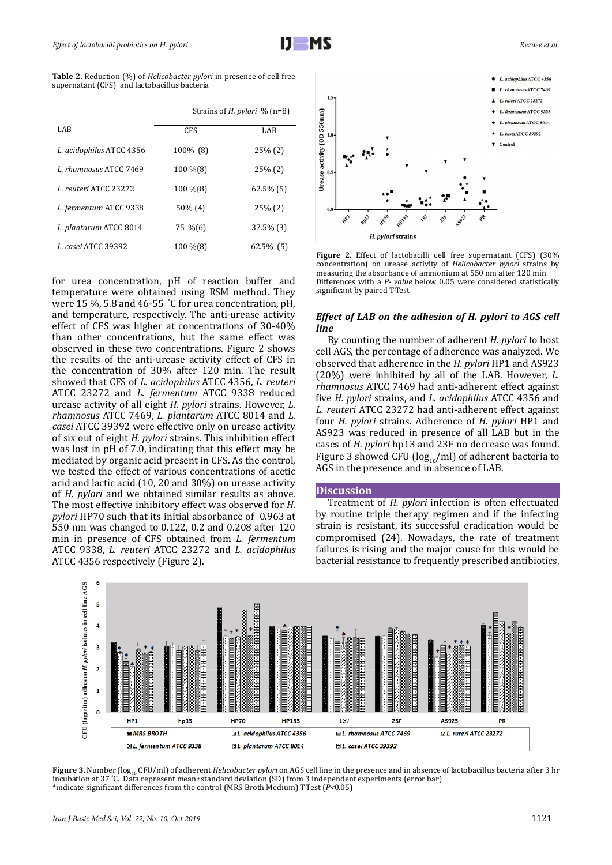**Table 2.** Reduction (%) of *Helicobacter pylori* in presence of cell free supernatant (CFS) and lactobacillus bacteria

|                          | Strains of <i>H. pylori</i> $\%$ (n=8) |              |
|--------------------------|----------------------------------------|--------------|
| LAB.                     | <b>CFS</b>                             | LAB          |
| L. acidophilus ATCC 4356 | 100% (8)                               | $25\%$ (2)   |
| L. rhamnosus ATCC 7469   | 100 % (8)                              | $25\%$ (2)   |
| L. reuteri ATCC 23272    | 100 % (8)                              | $62.5\%$ (5) |
| L. fermentum ATCC 9338   | $50\%$ (4)                             | $25\%$ (2)   |
| L. plantarum ATCC 8014   | 75 %(6)                                | 37.5% (3)    |
| L. casei ATCC 39392      | 100 % (8)                              | 62.5% (5)    |
|                          |                                        |              |

for urea concentration, pH of reaction buffer and temperature were obtained using RSM method. They were 15 %, 5.8 and 46-55 ° C for urea concentration, pH, and temperature, respectively. The anti-urease activity effect of CFS was higher at concentrations of 30-40% than other concentrations, but the same effect was observed in these two concentrations. Figure 2 shows the results of the anti-urease activity effect of CFS in the concentration of 30% after 120 min. The result showed that CFS of *L. acidophilus* ATCC 4356, *L. reuteri*  ATCC 23272 and *L. fermentum* ATCC 9338 reduced urease activity of all eight *H. pylori* strains. However, *L. rhamnosus* ATCC 7469, *L. plantarum* ATCC 8014 and *L. casei* ATCC 39392 were effective only on urease activity of six out of eight *H. pylori* strains. This inhibition effect was lost in pH of 7.0, indicating that this effect may be mediated by organic acid present in CFS. As the control, we tested the effect of various concentrations of acetic acid and lactic acid (10, 20 and 30%) on urease activity of *H. pylori* and we obtained similar results as above. 2 The most effective inhibitory effect was observed for *H. pylori* HP70 such that its initial absorbance of 0.963 at 550 nm was changed to 0.122, 0.2 and 0.208 after 120 min in presence of CFS obtained from *L. fermentum* ATCC 9338, *L. reuteri* ATCC 23272 and *L. acidophilus* ATCC 4356 respectively (Figure 2).



**Figure 2.** Effect of lactobacilli cell free supernatant (CFS) (30% concentration) on urease activity of *Helicobacter pylori* strains by measuring the absorbance of ammonium at 550 nm after 120 min Differences with a *P- value* below 0.05 were considered statistically significant by paired T-Test

#### *Effect of LAB on the adhesion of H. pylori to AGS cell line*

By counting the number of adherent *H. pylori* to host cell AGS, the percentage of adherence was analyzed. We observed that adherence in the *H. pylori* HP1 and AS923 (20%) were inhibited by all of the LAB. However, *L. rhamnosus* ATCC 7469 had anti-adherent effect against five *H. pylori* strains, and *L. acidophilus* ATCC 4356 and *L. reuteri* ATCC 23272 had anti-adherent effect against four *H. pylori* strains. Adherence of *H. pylori* HP1 and AS923 was reduced in presence of all LAB but in the cases of *H. pylori* hp13 and 23F no decrease was found. Figure 3 showed CFU ( $log_{10}/ml$ ) of adherent bacteria to AGS in the presence and in absence of LAB. 2

#### **Discussion**

Treatment of *H. pylori* infection is often effectuated by routine triple therapy regimen and if the infecting strain is resistant, its successful eradication would be compromised (24). Nowadays, the rate of treatment failures is rising and the major cause for this would be bacterial resistance to frequently prescribed antibiotics,



Figure 3. Number (log<sub>10</sub> CFU/ml) of adherent *Helicobacter pylori* on AGS cell line in the presence and in absence of lactobacillus bacteria after 3 hr incubation at 37 ° C. Data represent mean±standard deviation (SD) from 3 independent experiments (error bar) \*indicate significant differences from the control (MRS Broth Medium) T-Test (*P<*0.05)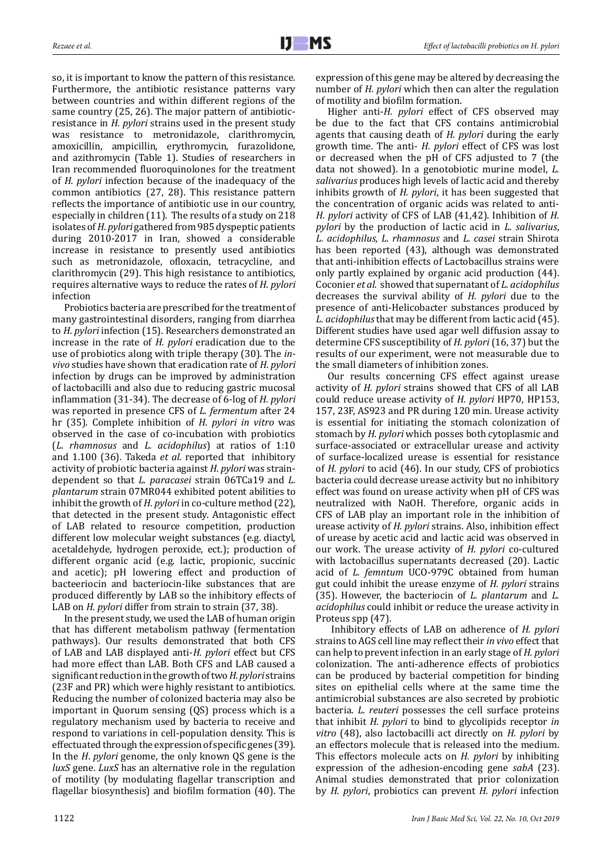so, it is important to know the pattern of this resistance. Furthermore, the antibiotic resistance patterns vary between countries and within different regions of the same country (25, 26). The major pattern of antibioticresistance in *H. pylori* strains used in the present study was resistance to metronidazole, clarithromycin, amoxicillin, ampicillin, erythromycin, furazolidone, and azithromycin (Table 1). Studies of researchers in Iran recommended fluoroquinolones for the treatment of *H. pylori* infection because of the inadequacy of the common antibiotics (27, 28). This resistance pattern reflects the importance of antibiotic use in our country, especially in children (11). The results of a study on 218 isolates of *H. pylori* gathered from 985 dyspeptic patients during 2010-2017 in Iran, showed a considerable increase in resistance to presently used antibiotics such as metronidazole, ofloxacin, tetracycline, and clarithromycin (29). This high resistance to antibiotics, requires alternative ways to reduce the rates of *H. pylori*  infection

Probiotics bacteria are prescribed for the treatment of many gastrointestinal disorders, ranging from diarrhea to *H. pylori* infection (15). Researchers demonstrated an increase in the rate of *H. pylori* eradication due to the use of probiotics along with triple therapy (30). The *invivo* studies have shown that eradication rate of *H. pylori* infection by drugs can be improved by administration of lactobacilli and also due to reducing gastric mucosal inflammation (31-34). The decrease of 6-log of *H. pylori* was reported in presence CFS of *L. fermentum* after 24 hr (35). Complete inhibition of *H. pylori in vitro* was observed in the case of co-incubation with probiotics (*L. rhamnosus* and *L. acidophilus*) at ratios of 1:10 and 1.100 (36). Takeda *et al.* reported that inhibitory activity of probiotic bacteria against *H. pylori* was straindependent so that *L. paracasei* strain 06TCa19 and *L. plantarum* strain 07MR044 exhibited potent abilities to inhibit the growth of *H. pylori* in co-culture method (22), that detected in the present study. Antagonistic effect of LAB related to resource competition, production different low molecular weight substances (e.g. diactyl, acetaldehyde, hydrogen peroxide, ect.); production of different organic acid (e.g. lactic, propionic, succinic and acetic); pH lowering effect and production of bacteeriocin and bacteriocin-like substances that are produced differently by LAB so the inhibitory effects of LAB on *H. pylori* differ from strain to strain (37, 38).

In the present study, we used the LAB of human origin that has different metabolism pathway (fermentation pathways). Our results demonstrated that both CFS of LAB and LAB displayed anti-*H. pylori* effect but CFS had more effect than LAB. Both CFS and LAB caused a significant reduction in the growth of two *H. pylori* strains (23F and PR) which were highly resistant to antibiotics. Reducing the number of colonized bacteria may also be important in Quorum sensing (QS) process which is a regulatory mechanism used by bacteria to receive and respond to variations in cell-population density. This is effectuated through the expression of specific genes (39). In the *H*. *pylori* genome, the only known QS gene is the *luxS* gene. *LuxS* has an alternative role in the regulation of motility (by modulating flagellar transcription and flagellar biosynthesis) and biofilm formation (40). The expression of this gene may be altered by decreasing the number of *H. pylori* which then can alter the regulation of motility and biofilm formation.

Higher anti-*H. pylori* effect of CFS observed may be due to the fact that CFS contains antimicrobial agents that causing death of *H. pylori* during the early growth time. The anti- *H. pylori* effect of CFS was lost or decreased when the pH of CFS adjusted to 7 (the data not showed). In a genotobiotic murine model, *L. salivarius* produces high levels of lactic acid and thereby inhibits growth of *H. pylori*, it has been suggested that the concentration of organic acids was related to anti-*H. pylori* activity of CFS of LAB (41,42). Inhibition of *H. pylori* by the production of lactic acid in *L. salivarius*, *L. acidophilus, L. rhamnosus* and *L. casei* strain Shirota has been reported (43), although was demonstrated that anti-inhibition effects of Lactobacillus strains were only partly explained by organic acid production (44). Coconier *et al.* showed that supernatant of *L. acidophilus* decreases the survival ability of *H. pylori* due to the presence of anti-Helicobacter substances produced by *L. acidophilus* that may be different from lactic acid (45). Different studies have used agar well diffusion assay to determine CFS susceptibility of *H. pylori* (16, 37) but the results of our experiment, were not measurable due to the small diameters of inhibition zones.

Our results concerning CFS effect against urease activity of *H. pylori* strains showed that CFS of all LAB could reduce urease activity of *H. pylori* HP70, HP153, 157, 23F, AS923 and PR during 120 min. Urease activity is essential for initiating the stomach colonization of stomach by *H. pylori* which posses both cytoplasmic and surface-associated or extracellular urease and activity of surface-localized urease is essential for resistance of *H. pylori* to acid (46). In our study, CFS of probiotics bacteria could decrease urease activity but no inhibitory effect was found on urease activity when pH of CFS was neutralized with NaOH. Therefore, organic acids in CFS of LAB play an important role in the inhibition of urease activity of *H. pylori* strains. Also, inhibition effect of urease by acetic acid and lactic acid was observed in our work. The urease activity of *H. pylori* co-cultured with lactobacillus supernatants decreased (20). Lactic acid of *L. femntum* UCO-979C obtained from human gut could inhibit the urease enzyme of *H. pylori* strains (35). However, the bacteriocin of *L. plantarum* and *L. acidophilus* could inhibit or reduce the urease activity in Proteus spp (47).

 Inhibitory effects of LAB on adherence of *H. pylori* strains to AGS cell line may reflect their *in vivo* effect that can help to prevent infection in an early stage of *H. pylori*  colonization. The anti-adherence effects of probiotics can be produced by bacterial competition for binding sites on epithelial cells where at the same time the antimicrobial substances are also secreted by probiotic bacteria. *L. reuteri* possesses the cell surface proteins that inhibit *H. pylori* to bind to glycolipids receptor *in vitro* (48), also lactobacilli act directly on *H. pylori* by an effectors molecule that is released into the medium. This effectors molecule acts on *H. pylori* by inhibiting expression of the adhesion-encoding gene *sabA* (23). Animal studies demonstrated that prior colonization by *H. pylori*, probiotics can prevent *H. pylori* infection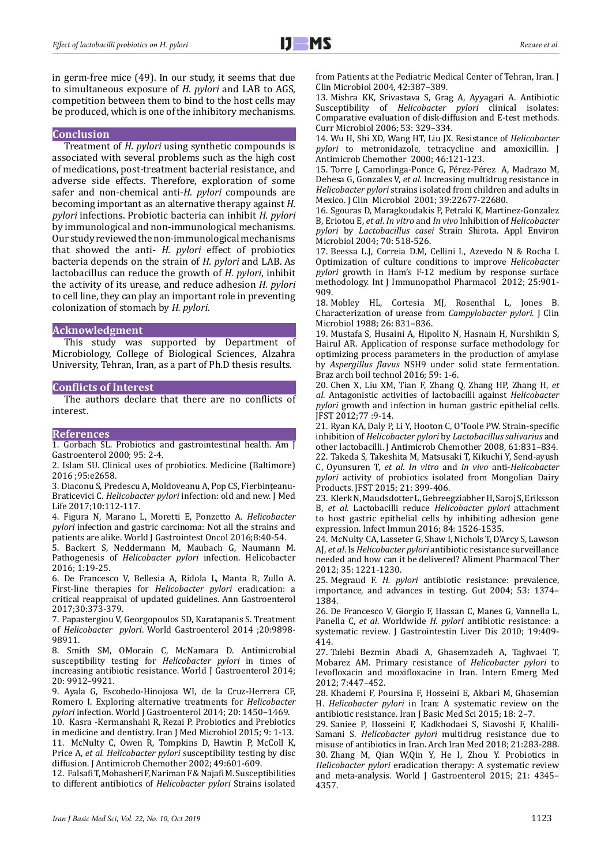in germ-free mice (49). In our study, it seems that due to simultaneous exposure of *H. pylori* and LAB to AGS, competition between them to bind to the host cells may be produced, which is one of the inhibitory mechanisms.

#### **Conclusion**

Treatment of *H. pylori* using synthetic compounds is associated with several problems such as the high cost of medications, post-treatment bacterial resistance, and adverse side effects. Therefore, exploration of some safer and non-chemical anti-*H. pylori* compounds are becoming important as an alternative therapy against *H. pylori* infections. Probiotic bacteria can inhibit *H. pylori* by immunological and non-immunological mechanisms. Our study reviewed the non-immunological mechanisms that showed the anti*- H. pylori* effect of probiotics bacteria depends on the strain of *H. pylori* and LAB. As lactobacillus can reduce the growth of *H. pylori*, inhibit the activity of its urease, and reduce adhesion *H. pylori* to cell line, they can play an important role in preventing colonization of stomach by *H. pylori*.

#### **Acknowledgment**

This study was supported by Department of Microbiology, College of Biological Sciences, Alzahra University, Tehran, Iran, as a part of Ph.D thesis results.

#### **Conflicts of Interest**

The authors declare that there are no conflicts of interest.

#### **References**

1. Gorbach SL. Probiotics and gastrointestinal health. Am J Gastroenterol 2000; 95: 2-4.

2. Islam SU. Clinical uses of probiotics. Medicine (Baltimore) 2016 ;95:e2658.

3. Diaconu S, Predescu A, Moldoveanu A, Pop CS, Fierbințeanu-Braticevici C. *Helicobacter pylori* infection: old and new. J Med Life 2017;10:112-117.

4. Figura N, Marano L, Moretti E, Ponzetto A. *Helicobacter pylori* infection and gastric carcinoma: Not all the strains and patients are alike. World J Gastrointest Oncol 2016;8:40-54.

5. Backert S, Neddermann M, Maubach G, Naumann M. Pathogenesis of *Helicobacter pylori* infection. Helicobacter 2016; 1:19-25.

6. De Francesco V, Bellesia A, Ridola L, Manta R, Zullo A. First-line therapies for *Helicobacter pylori* eradication: a critical reappraisal of updated guidelines. Ann Gastroenterol 2017;30:373-379.

7. Papastergiou V, Georgopoulos SD, Karatapanis S. Treatment of *Helicobacter pylori*. World Gastroenterol 2014 ;20:9898- 98911.

8. Smith SM, OMorain C, McNamara D. Antimicrobial susceptibility testing for *Helicobacter pylori* in times of increasing antibiotic resistance. World J Gastroenterol 2014; 20: 9912–9921.

9. Ayala G, Escobedo-Hinojosa WI, de la Cruz-Herrera CF, Romero I. Exploring alternative treatments for *Helicobacter pylori* infection. World J Gastroenterol 2014; 20: 1450–1469.

10. Kasra -Kermanshahi R, Rezai P. Probiotics and Prebiotics in medicine and dentistry. Iran J Med Microbiol 2015; 9: 1-13.

11. McNulty C, Owen R, Tompkins D, Hawtin P, McColl K, Price A, *et al. Helicobacter pylori* susceptibility testing by disc diffusion. J Antimicrob Chemother 2002; 49:601-609.

12. Falsafi T, Mobasheri F, Nariman F & Najafi M. Susceptibilities to different antibiotics of *Helicobacter pylori* Strains isolated from Patients at the Pediatric Medical Center of Tehran, Iran. J Clin Microbiol 2004, 42:387–389.

13. Mishra KK, Srivastava S, Grag A, Ayyagari A. Antibiotic Susceptibility of *Helicobacter pylori* clinical isolates: Comparative evaluation of disk-diffusion and E-test methods. Curr Microbiol 2006; 53: 329–334.

14. Wu H, Shi XD, Wang HT, Liu JX. Resistance of *Helicobacter pylori* to metronidazole, tetracycline and amoxicillin. J Antimicrob Chemother 2000; 46:121-123.

15. Torre J, Camorlinga-Ponce G, Pérez-Pérez A, Madrazo M, Dehesa G, Gonzales V, *et al.* Increasing multidrug resistance in *Helicobacter pylori* strains isolated from children and adults in Mexico. J Clin Microbiol 2001; 39:22677-22680.

16. Sgouras D, Maragkoudakis P, Petraki K, Martinez-Gonzalez B, Eriotou E, *et al*. *In vitro* and *In vivo* Inhibition of *Helicobacter pylori* by *Lactobacillus casei* Strain Shirota. Appl Environ Microbiol 2004; 70: 518-526.

17. Beessa L.J, Correia D.M, Cellini L, Azevedo N & Rocha I. Optimization of culture conditions to improve *Helicobacter pylori* growth in Ham's F-12 medium by response surface methodology. Int J Immunopathol Pharmacol 2012; 25:901- 909.

18. Mobley HL, Cortesia MJ, Rosenthal L, Jones B. Characterization of urease from *Campylobacter pylori*. J Clin Microbiol 1988; 26: 831–836.

19. Mustafa S, Husaini A, Hipolito N, Hasnain H, Nurshikin S, Hairul AR. Application of response surface methodology for optimizing process parameters in the production of amylase by *Aspergillus flavus* NSH9 under solid state fermentation. Braz arch boil technol 2016; 59: 1-6.

20. Chen X, Liu XM, Tian F, Zhang Q, Zhang HP, Zhang H, *et al*. Antagonistic activities of lactobacilli against *Helicobacter pylori* growth and infection in human gastric epithelial cells. JFST 2012;77 :9-14.

21. Ryan KA, Daly P, Li Y, Hooton C, O'Toole PW. Strain-specific inhibition of *Helicobacter pylori* by *Lactobacillus salivarius* and other lactobacilli. J Antimicrob Chemother 2008, 61:831–834. 22. Takeda S, Takeshita M, Matsusaki T, Kikuchi Y, Send-ayush C, Oyunsuren T, *et al*. *In vitro* and *in vivo* anti-*Helicobacter pylori* activity of probiotics isolated from Mongolian Dairy Products. JFST 2015; 21: 399-406.

23. Klerk N, Maudsdotter L, Gebreegziabher H, Saroj S, Eriksson B, *et al*. Lactobacilli reduce *Helicobacter pylori* attachment to host gastric epithelial cells by inhibiting adhesion gene expression. Infect Immun 2016; 84: 1526-1535.

24. McNulty CA, Lasseter G, Shaw I, Nichols T, D'Arcy S, Lawson AJ, *et al*. Is *Helicobacter pylori* antibiotic resistance surveillance needed and how can it be delivered? Aliment Pharmacol Ther 2012; 35: 1221-1230.

25. Megraud F. *H. pylori* antibiotic resistance: prevalence, importance, and advances in testing. Gut 2004; 53: 1374– 1384.

26. De Francesco V, Giorgio F, Hassan C, Manes G, Vannella L, Panella C, *et al*. Worldwide *H. pylori* antibiotic resistance: a systematic review. J Gastrointestin Liver Dis 2010; 19:409- 414.

27. Talebi Bezmin Abadi A, Ghasemzadeh A, Taghvaei T, Mobarez AM. Primary resistance of *Helicobacter pylori* to levofloxacin and moxifloxacine in Iran. Intern Emerg Med 2012; 7:447–452.

28. Khademi F, Poursina F, Hosseini E, Akbari M, Ghasemian H. *Helicobacter pylori* in Iran: A systematic review on the antibiotic resistance. Iran J Basic Med Sci 2015; 18: 2–7.

29. Saniee P, Hosseini F, Kadkhodaei S, Siavoshi F, Khalili-Samani S. *Helicobacter pylori* multidrug resistance due to misuse of antibiotics in Iran. Arch Iran Med 2018; 21:283-288. 30. Zhang M, Qian W,Qin Y, He I, Zhou Y. Probiotics in *Helicobacter pylori* eradication therapy: A systematic review and meta-analysis. World J Gastroenterol 2015; 21: 4345– 4357.